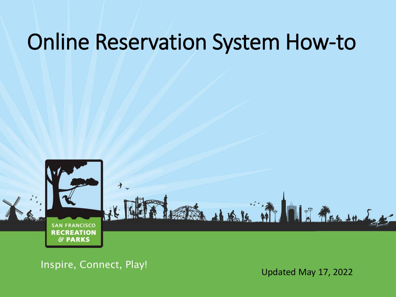## Online Reservation System How-to



Inspire, Connect, Play!<br>
Updated May 17, 2022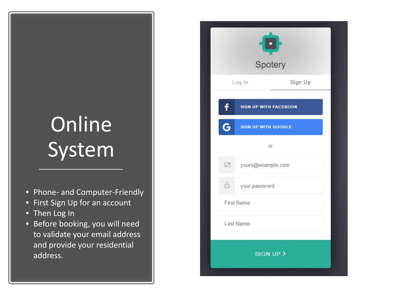# **Online** System

- Phone- and Computer-Friendly
- First Sign Up for an account
- Then Log In
- Before booking, you will need to validate your email address and provide your residential address.

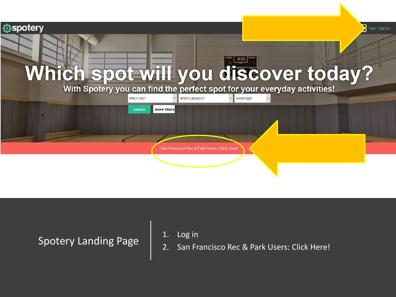

Spotery Landing Page  $\begin{array}{|c|c|c|} \hline 1. & \text{Log in} \ \hline 2. & \text{San Fr.} \ \hline \end{array}$ 

- 
- 2. San Francisco Rec & Park Users: Click Here!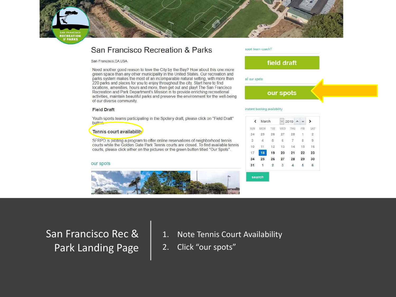

### San Francisco Recreation & Parks

San Francisco.CA.USA

Need another good reason to love the City by the Bay? How about this one: more green space than any other municipality in the United States. Our recreation and parks system makes the most of an incomparable natural setting, with more than 220 parks and places for you to enjoy throughout the city. Start here to find locations, amenities, hours and more, then get out and play! The San Francisco Recreation and Park Department's Mission is to provide enriching recreational activities, maintain beautiful parks and preserve the environment for the well-being of our diverse community.

#### **Field Draft**

Youth sports teams participating in the Spotery draft, please click on "Field Draft" button.

#### Tennis court availability

SFRPD is piloting a program to offer online reservations of neighborhood tennis courts while the Golden Gate Park Tennis courts are closed. To find available tennis courts, please click either on the pictures or the green button titled "Our Spots".

#### our spots



## San Francisco Rec & Park Landing Page

- 1. Note Tennis Court Availability
- 2. Click "our spots"

#### sport team coach?



#### all our spots

our spots

#### instant booking availability

| $\epsilon$ | March |                | 2019 |        | ⋗   |     |
|------------|-------|----------------|------|--------|-----|-----|
| SUN        | MON.  | TUE            | WED  | THU    | FRI | SAT |
| 24         | 25    | 26             | 27   | 28     | 1   | 2   |
| 3          | 4     | 5              | 6    | $\tau$ | 8   | 9   |
| 10         | 11    | 12             | 13   | 14     | 15  | 16  |
| 17         | 18    | 19             | 20   | 21     | 22  | 23  |
| 24         | 25    | 26             | 27   | 28     | 29  | 30  |
| 31         | 1     | $\overline{2}$ | з    | 4      | 5.  | 6   |

search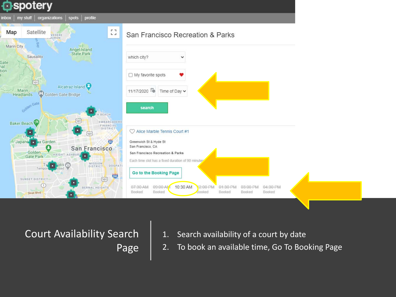### **O**spotery



Court Availability Search Page

- 1. Search availability of a court by date
- 2. To book an available time, Go To Booking Page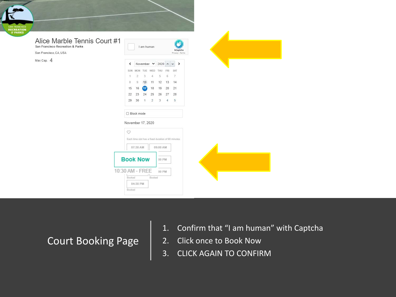

#### Alice Marble Tennis Court #1

San Francisco Recreation & Parks

San Francisco, CA, USA

Max Cap. 4



Court Booking Page

- 1. Confirm that "I am human" with Captcha
- 2. Click once to Book Now
- 3. CLICK AGAIN TO CONFIRM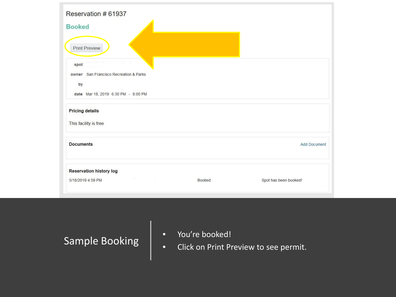| Reservation # 61937                    |               |                       |
|----------------------------------------|---------------|-----------------------|
| <b>Booked</b>                          |               |                       |
| <b>Print Preview</b>                   |               |                       |
| spot                                   |               |                       |
| owner San Francisco Recreation & Parks |               |                       |
| by                                     |               |                       |
| date Mar 18, 2019 6:30 PM - 8:00 PM    |               |                       |
| <b>Pricing details</b>                 |               |                       |
| This facility is free                  |               |                       |
| <b>Documents</b>                       |               | <b>Add Document</b>   |
| <b>Reservation history log</b>         |               |                       |
| 3/18/2019 4:59 PM                      | <b>Booked</b> | Spot has been booked! |
|                                        |               |                       |

Sample Booking

- You're booked!
- Click on Print Preview to see permit.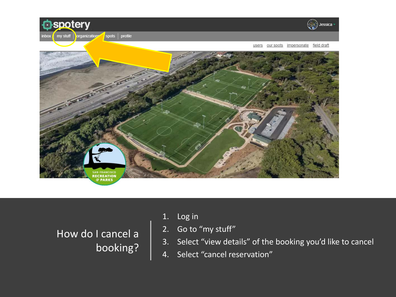

How do I cancel a booking?

- 1. Log in
- 2. Go to "my stuff"
- 3. Select "view details" of the booking you'd like to cancel
- 4. Select "cancel reservation"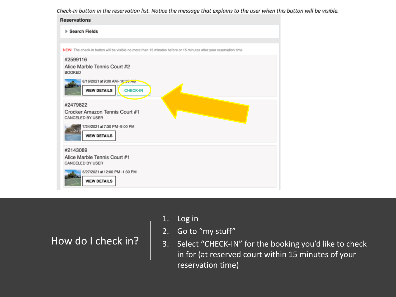Check-in button in the reservation list. Notice the message that explains to the user when this button will be visible.



How do I check in?

- 1. Log in
- 2. Go to "my stuff"
- 3. Select "CHECK-IN" for the booking you'd like to check in for (at reserved court within 15 minutes of your reservation time)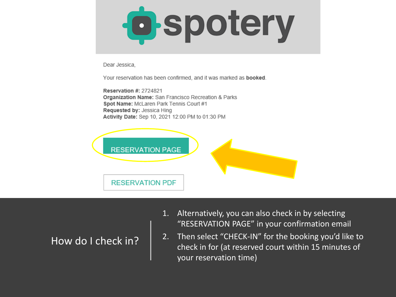

Dear Jessica.

Your reservation has been confirmed, and it was marked as **booked**.

**Reservation #: 2724821** Organization Name: San Francisco Recreation & Parks Spot Name: McLaren Park Tennis Court #1 Requested by: Jessica Hing Activity Date: Sep 10, 2021 12:00 PM to 01:30 PM



How do I check in?

- 1. Alternatively, you can also check in by selecting "RESERVATION PAGE" in your confirmation email
- 2. Then select "CHECK-IN" for the booking you'd like to check in for (at reserved court within 15 minutes of your reservation time)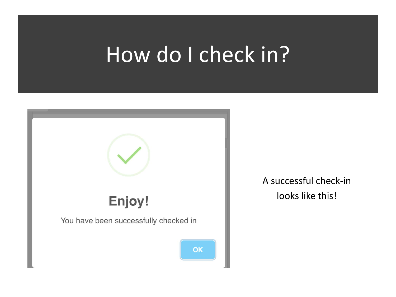# How do I check in?



A successful check-in looks like this!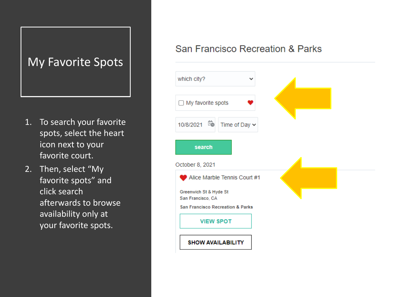### My Favorite Spots

- 1. To search your favorite spots, select the heart icon next to your favorite court.
- 2. Then, select "My favorite spots" and click search afterwards to browse availability only at your favorite spots.

### San Francisco Recreation & Parks